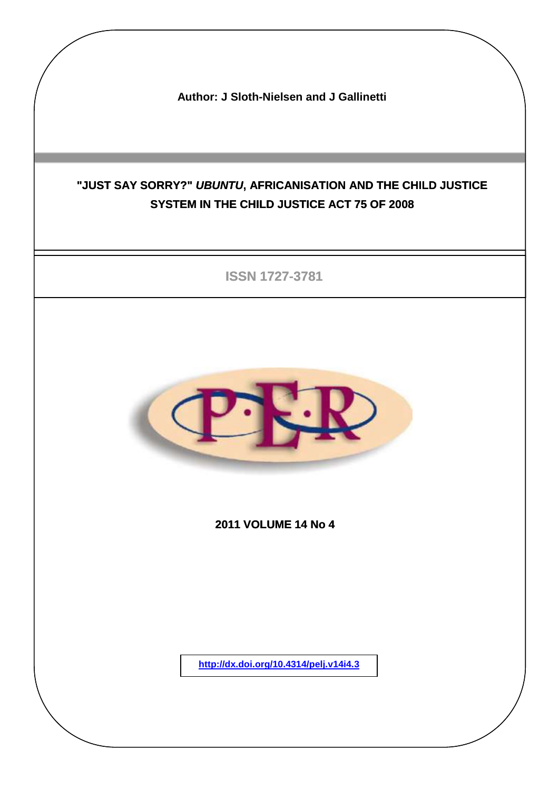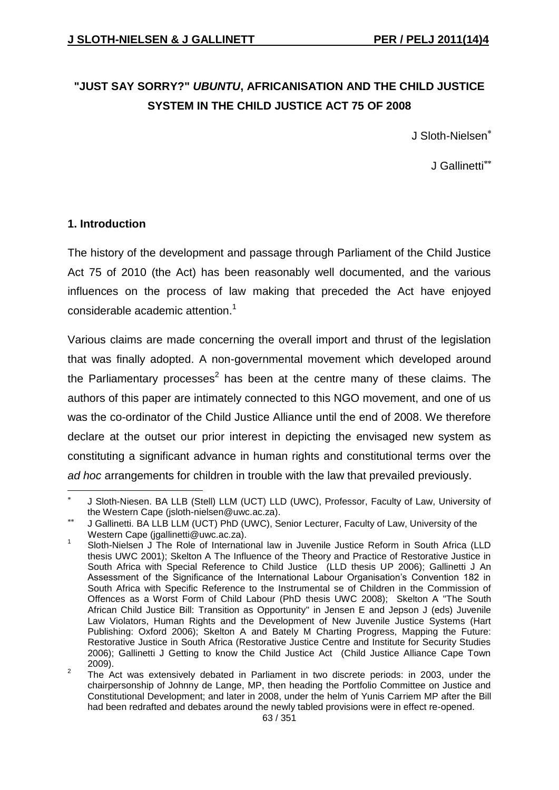# **"JUST SAY SORRY?"** *UBUNTU***, AFRICANISATION AND THE CHILD JUSTICE SYSTEM IN THE CHILD JUSTICE ACT 75 OF 2008**

J Sloth-Nielsen

J Gallinetti\*\*

## **1. Introduction**

1

The history of the development and passage through Parliament of the Child Justice Act 75 of 2010 (the Act) has been reasonably well documented, and the various influences on the process of law making that preceded the Act have enjoyed considerable academic attention.<sup>1</sup>

Various claims are made concerning the overall import and thrust of the legislation that was finally adopted. A non-governmental movement which developed around the Parliamentary processes<sup>2</sup> has been at the centre many of these claims. The authors of this paper are intimately connected to this NGO movement, and one of us was the co-ordinator of the Child Justice Alliance until the end of 2008. We therefore declare at the outset our prior interest in depicting the envisaged new system as constituting a significant advance in human rights and constitutional terms over the *ad hoc* arrangements for children in trouble with the law that prevailed previously.

J Sloth-Niesen. BA LLB (Stell) LLM (UCT) LLD (UWC), Professor, Faculty of Law, University of the Western Cape (jsloth-nielsen@uwc.ac.za).

and a J Gallinetti. BA LLB LLM (UCT) PhD (UWC), Senior Lecturer, Faculty of Law, University of the Western Cape (jgallinetti@uwc.ac.za).

<sup>1</sup> Sloth-Nielsen J The Role of International law in Juvenile Justice Reform in South Africa (LLD thesis UWC 2001); Skelton A The Influence of the Theory and Practice of Restorative Justice in South Africa with Special Reference to Child Justice (LLD thesis UP 2006); Gallinetti J An Assessment of the Significance of the International Labour Organisation's Convention 182 in South Africa with Specific Reference to the Instrumental se of Children in the Commission of Offences as a Worst Form of Child Labour (PhD thesis UWC 2008); Skelton A "The South African Child Justice Bill: Transition as Opportunity" in Jensen E and Jepson J (eds) Juvenile Law Violators, Human Rights and the Development of New Juvenile Justice Systems (Hart Publishing: Oxford 2006); Skelton A and Bately M Charting Progress, Mapping the Future: Restorative Justice in South Africa (Restorative Justice Centre and Institute for Security Studies 2006); Gallinetti J Getting to know the Child Justice Act (Child Justice Alliance Cape Town 2009).

<sup>2</sup> The Act was extensively debated in Parliament in two discrete periods: in 2003, under the chairpersonship of Johnny de Lange, MP, then heading the Portfolio Committee on Justice and Constitutional Development; and later in 2008, under the helm of Yunis Carriem MP after the Bill had been redrafted and debates around the newly tabled provisions were in effect re-opened.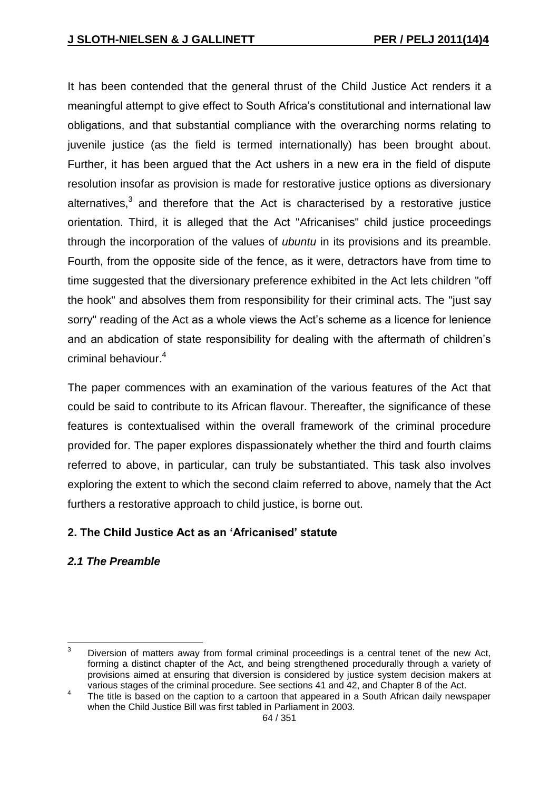It has been contended that the general thrust of the Child Justice Act renders it a meaningful attempt to give effect to South Africa's constitutional and international law obligations, and that substantial compliance with the overarching norms relating to juvenile justice (as the field is termed internationally) has been brought about. Further, it has been argued that the Act ushers in a new era in the field of dispute resolution insofar as provision is made for restorative justice options as diversionary alternatives, $3$  and therefore that the Act is characterised by a restorative justice orientation. Third, it is alleged that the Act "Africanises" child justice proceedings through the incorporation of the values of *ubuntu* in its provisions and its preamble. Fourth, from the opposite side of the fence, as it were, detractors have from time to time suggested that the diversionary preference exhibited in the Act lets children "off the hook" and absolves them from responsibility for their criminal acts. The "just say sorry" reading of the Act as a whole views the Act's scheme as a licence for lenience and an abdication of state responsibility for dealing with the aftermath of children's criminal behaviour.<sup>4</sup>

The paper commences with an examination of the various features of the Act that could be said to contribute to its African flavour. Thereafter, the significance of these features is contextualised within the overall framework of the criminal procedure provided for. The paper explores dispassionately whether the third and fourth claims referred to above, in particular, can truly be substantiated. This task also involves exploring the extent to which the second claim referred to above, namely that the Act furthers a restorative approach to child justice, is borne out.

# **2. The Child Justice Act as an 'Africanised' statute**

# *2.1 The Preamble*

 $\overline{3}$ Diversion of matters away from formal criminal proceedings is a central tenet of the new Act, forming a distinct chapter of the Act, and being strengthened procedurally through a variety of provisions aimed at ensuring that diversion is considered by justice system decision makers at various stages of the criminal procedure. See sections 41 and 42, and Chapter 8 of the Act.

<sup>4</sup> The title is based on the caption to a cartoon that appeared in a South African daily newspaper when the Child Justice Bill was first tabled in Parliament in 2003.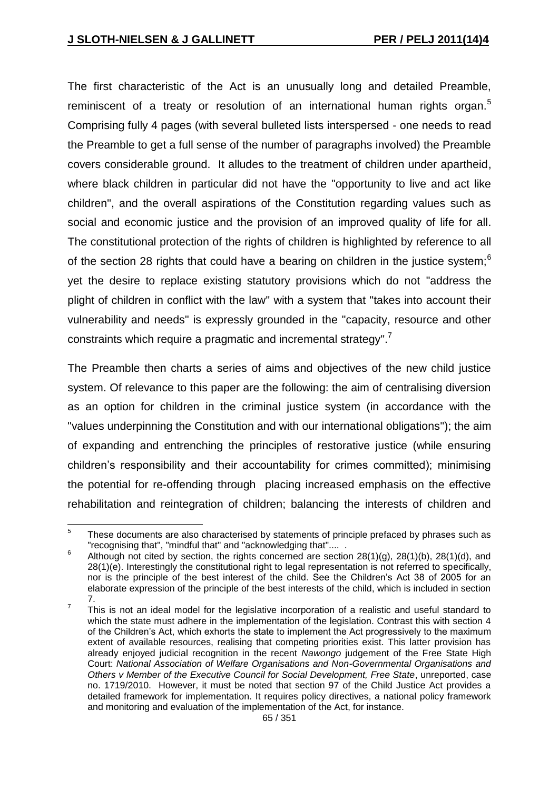The first characteristic of the Act is an unusually long and detailed Preamble, reminiscent of a treaty or resolution of an international human rights organ.<sup>5</sup> Comprising fully 4 pages (with several bulleted lists interspersed - one needs to read the Preamble to get a full sense of the number of paragraphs involved) the Preamble covers considerable ground. It alludes to the treatment of children under apartheid, where black children in particular did not have the "opportunity to live and act like children", and the overall aspirations of the Constitution regarding values such as social and economic justice and the provision of an improved quality of life for all. The constitutional protection of the rights of children is highlighted by reference to all of the section 28 rights that could have a bearing on children in the justice system;<sup>6</sup> yet the desire to replace existing statutory provisions which do not "address the plight of children in conflict with the law" with a system that "takes into account their vulnerability and needs" is expressly grounded in the "capacity, resource and other constraints which require a pragmatic and incremental strategy".<sup>7</sup>

The Preamble then charts a series of aims and objectives of the new child justice system. Of relevance to this paper are the following: the aim of centralising diversion as an option for children in the criminal justice system (in accordance with the "values underpinning the Constitution and with our international obligations"); the aim of expanding and entrenching the principles of restorative justice (while ensuring children's responsibility and their accountability for crimes committed); minimising the potential for re-offending through placing increased emphasis on the effective rehabilitation and reintegration of children; balancing the interests of children and

 $\frac{1}{5}$ These documents are also characterised by statements of principle prefaced by phrases such as "recognising that", "mindful that" and "acknowledging that".... .

<sup>6</sup> Although not cited by section, the rights concerned are section  $28(1)(q)$ ,  $28(1)(b)$ ,  $28(1)(d)$ , and 28(1)(e). Interestingly the constitutional right to legal representation is not referred to specifically, nor is the principle of the best interest of the child. See the Children's Act 38 of 2005 for an elaborate expression of the principle of the best interests of the child, which is included in section 7.

<sup>7</sup> This is not an ideal model for the legislative incorporation of a realistic and useful standard to which the state must adhere in the implementation of the legislation. Contrast this with section 4 of the Children's Act, which exhorts the state to implement the Act progressively to the maximum extent of available resources, realising that competing priorities exist. This latter provision has already enjoyed judicial recognition in the recent *Nawongo* judgement of the Free State High Court: *National Association of Welfare Organisations and Non-Governmental Organisations and Others v Member of the Executive Council for Social Development, Free State*, unreported, case no. 1719/2010. However, it must be noted that section 97 of the Child Justice Act provides a detailed framework for implementation. It requires policy directives, a national policy framework and monitoring and evaluation of the implementation of the Act, for instance.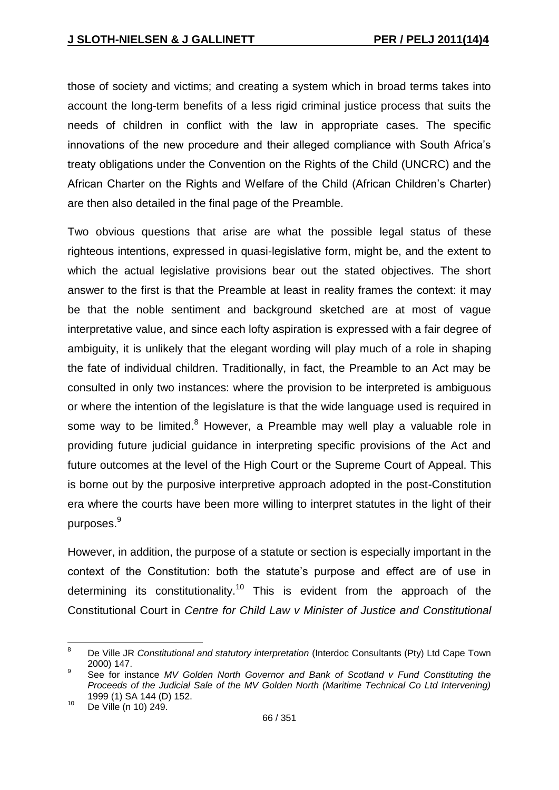those of society and victims; and creating a system which in broad terms takes into account the long-term benefits of a less rigid criminal justice process that suits the needs of children in conflict with the law in appropriate cases. The specific innovations of the new procedure and their alleged compliance with South Africa's treaty obligations under the Convention on the Rights of the Child (UNCRC) and the African Charter on the Rights and Welfare of the Child (African Children's Charter) are then also detailed in the final page of the Preamble.

Two obvious questions that arise are what the possible legal status of these righteous intentions, expressed in quasi-legislative form, might be, and the extent to which the actual legislative provisions bear out the stated objectives. The short answer to the first is that the Preamble at least in reality frames the context: it may be that the noble sentiment and background sketched are at most of vague interpretative value, and since each lofty aspiration is expressed with a fair degree of ambiguity, it is unlikely that the elegant wording will play much of a role in shaping the fate of individual children. Traditionally, in fact, the Preamble to an Act may be consulted in only two instances: where the provision to be interpreted is ambiguous or where the intention of the legislature is that the wide language used is required in some way to be limited. $8$  However, a Preamble may well play a valuable role in providing future judicial guidance in interpreting specific provisions of the Act and future outcomes at the level of the High Court or the Supreme Court of Appeal. This is borne out by the purposive interpretive approach adopted in the post-Constitution era where the courts have been more willing to interpret statutes in the light of their purposes.<sup>9</sup>

However, in addition, the purpose of a statute or section is especially important in the context of the Constitution: both the statute's purpose and effect are of use in determining its constitutionality.<sup>10</sup> This is evident from the approach of the Constitutional Court in *Centre for Child Law v Minister of Justice and Constitutional* 

 $\overline{8}$ <sup>8</sup> De Ville JR *Constitutional and statutory interpretation* (Interdoc Consultants (Pty) Ltd Cape Town 2000) 147.

<sup>9</sup> See for instance *MV Golden North Governor and Bank of Scotland v Fund Constituting the Proceeds of the Judicial Sale of the MV Golden North (Maritime Technical Co Ltd Intervening)* 1999 (1) SA 144 (D) 152.

 $10$  De Ville (n 10) 249.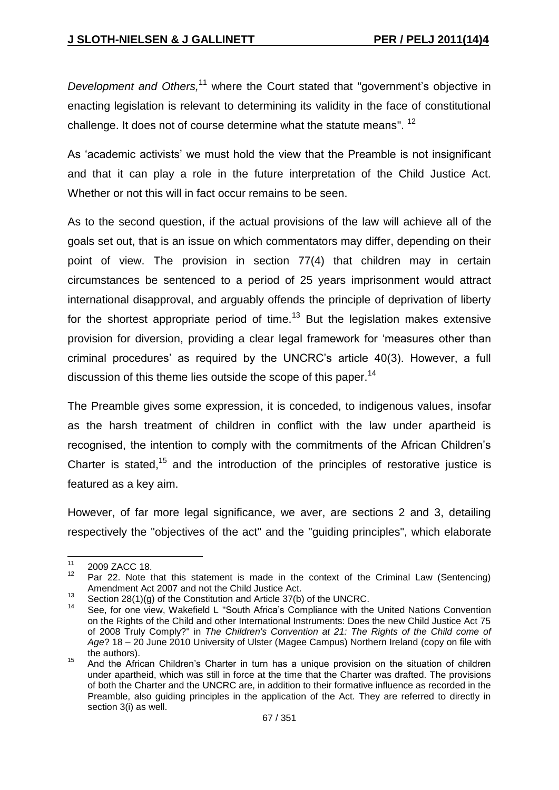*Development and Others,*<sup>11</sup> where the Court stated that "government's objective in enacting legislation is relevant to determining its validity in the face of constitutional challenge. It does not of course determine what the statute means". <sup>12</sup>

As 'academic activists' we must hold the view that the Preamble is not insignificant and that it can play a role in the future interpretation of the Child Justice Act. Whether or not this will in fact occur remains to be seen.

As to the second question, if the actual provisions of the law will achieve all of the goals set out, that is an issue on which commentators may differ, depending on their point of view. The provision in section 77(4) that children may in certain circumstances be sentenced to a period of 25 years imprisonment would attract international disapproval, and arguably offends the principle of deprivation of liberty for the shortest appropriate period of time.<sup>13</sup> But the legislation makes extensive provision for diversion, providing a clear legal framework for 'measures other than criminal procedures' as required by the UNCRC's article 40(3). However, a full discussion of this theme lies outside the scope of this paper.<sup>14</sup>

The Preamble gives some expression, it is conceded, to indigenous values, insofar as the harsh treatment of children in conflict with the law under apartheid is recognised, the intention to comply with the commitments of the African Children's Charter is stated,<sup>15</sup> and the introduction of the principles of restorative justice is featured as a key aim.

However, of far more legal significance, we aver, are sections 2 and 3, detailing respectively the "objectives of the act" and the "guiding principles", which elaborate

 $11$  $^{11}$  2009 ZACC 18.

Par 22. Note that this statement is made in the context of the Criminal Law (Sentencing) Amendment Act 2007 and not the Child Justice Act.

<sup>13</sup> Section 28(1)(g) of the Constitution and Article 37(b) of the UNCRC.

See, for one view, Wakefield L "South Africa's Compliance with the United Nations Convention on the Rights of the Child and other International Instruments: Does the new Child Justice Act 75 of 2008 Truly Comply?" in *The Children's Convention at 21: The Rights of the Child come of Age*? 18 – 20 June 2010 University of Ulster (Magee Campus) Northern Ireland (copy on file with the authors).

<sup>&</sup>lt;sup>15</sup> And the African Children's Charter in turn has a unique provision on the situation of children under apartheid, which was still in force at the time that the Charter was drafted. The provisions of both the Charter and the UNCRC are, in addition to their formative influence as recorded in the Preamble, also guiding principles in the application of the Act. They are referred to directly in section 3(i) as well.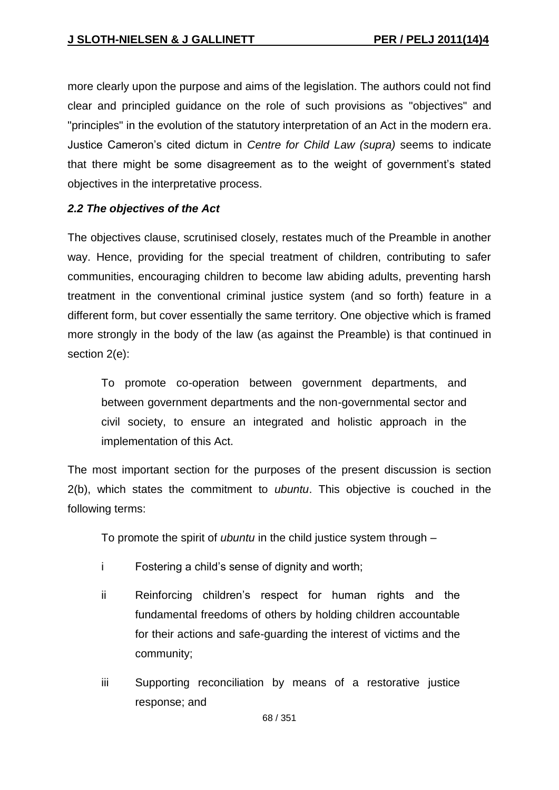more clearly upon the purpose and aims of the legislation. The authors could not find clear and principled guidance on the role of such provisions as "objectives" and "principles" in the evolution of the statutory interpretation of an Act in the modern era. Justice Cameron's cited dictum in *Centre for Child Law (supra)* seems to indicate that there might be some disagreement as to the weight of government's stated objectives in the interpretative process.

## *2.2 The objectives of the Act*

The objectives clause, scrutinised closely, restates much of the Preamble in another way. Hence, providing for the special treatment of children, contributing to safer communities, encouraging children to become law abiding adults, preventing harsh treatment in the conventional criminal justice system (and so forth) feature in a different form, but cover essentially the same territory. One objective which is framed more strongly in the body of the law (as against the Preamble) is that continued in section 2(e):

To promote co-operation between government departments, and between government departments and the non-governmental sector and civil society, to ensure an integrated and holistic approach in the implementation of this Act.

The most important section for the purposes of the present discussion is section 2(b), which states the commitment to *ubuntu*. This objective is couched in the following terms:

To promote the spirit of *ubuntu* in the child justice system through –

- i Fostering a child's sense of dignity and worth;
- ii Reinforcing children's respect for human rights and the fundamental freedoms of others by holding children accountable for their actions and safe-guarding the interest of victims and the community;
- iii Supporting reconciliation by means of a restorative justice response; and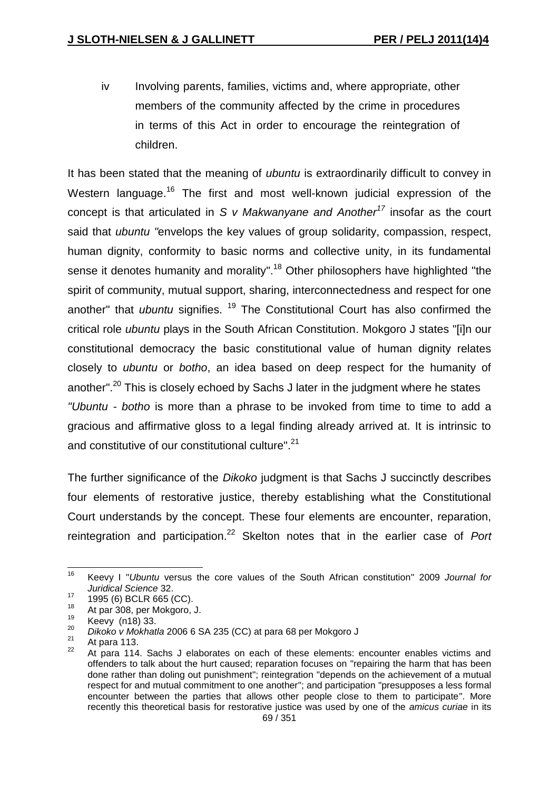iv Involving parents, families, victims and, where appropriate, other members of the community affected by the crime in procedures in terms of this Act in order to encourage the reintegration of children.

It has been stated that the meaning of *ubuntu* is extraordinarily difficult to convey in Western language.<sup>16</sup> The first and most well-known judicial expression of the concept is that articulated in *S v Makwanyane and Another<sup>17</sup>* insofar as the court said that *ubuntu "*envelops the key values of group solidarity, compassion, respect, human dignity, conformity to basic norms and collective unity, in its fundamental sense it denotes humanity and morality".<sup>18</sup> Other philosophers have highlighted "the spirit of community, mutual support, sharing, interconnectedness and respect for one another" that *ubuntu* signifies. <sup>19</sup> The Constitutional Court has also confirmed the critical role *ubuntu* plays in the South African Constitution. Mokgoro J states "[i]n our constitutional democracy the basic constitutional value of human dignity relates closely to *ubuntu* or *botho*, an idea based on deep respect for the humanity of another".<sup>20</sup> This is closely echoed by Sachs J later in the judgment where he states *"Ubuntu - botho* is more than a phrase to be invoked from time to time to add a gracious and affirmative gloss to a legal finding already arrived at. It is intrinsic to and constitutive of our constitutional culture". 21

The further significance of the *Dikoko* judgment is that Sachs J succinctly describes four elements of restorative justice, thereby establishing what the Constitutional Court understands by the concept. These four elements are encounter, reparation, reintegration and participation.<sup>22</sup> Skelton notes that in the earlier case of *Port* 

<sup>16</sup> <sup>16</sup> Keevy I "*Ubuntu* versus the core values of the South African constitution" 2009 *Journal for Juridical Science* 32.

<sup>&</sup>lt;sup>17</sup> 1995 (6) BCLR 665 (CC).

 $^{18}$  At par 308, per Mokgoro, J.

 $19$  Keevy (n18) 33.<br> $20$  Dikelse v Makhat

<sup>20</sup> *Dikoko v Mokhatla* 2006 6 SA 235 (CC) at para 68 per Mokgoro J

 $\frac{21}{22}$  At para 113.

<sup>22</sup> At para 114. Sachs J elaborates on each of these elements: encounter enables victims and offenders to talk about the hurt caused; reparation focuses on "repairing the harm that has been done rather than doling out punishment"; reintegration "depends on the achievement of a mutual respect for and mutual commitment to one another"; and participation "presupposes a less formal encounter between the parties that allows other people close to them to participate". More recently this theoretical basis for restorative justice was used by one of the *amicus curiae* in its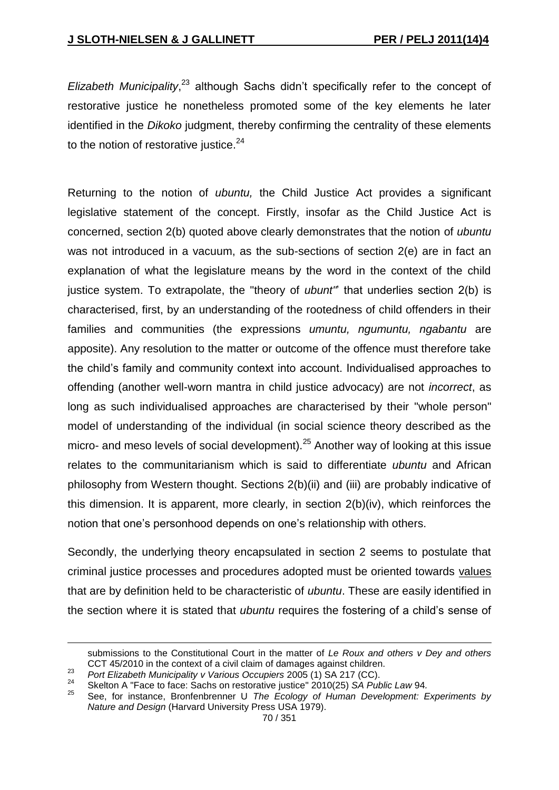Elizabeth Municipality,<sup>23</sup> although Sachs didn't specifically refer to the concept of restorative justice he nonetheless promoted some of the key elements he later identified in the *Dikoko* judgment, thereby confirming the centrality of these elements to the notion of restorative justice. $24$ 

Returning to the notion of *ubuntu,* the Child Justice Act provides a significant legislative statement of the concept. Firstly, insofar as the Child Justice Act is concerned, section 2(b) quoted above clearly demonstrates that the notion of *ubuntu* was not introduced in a vacuum, as the sub-sections of section 2(e) are in fact an explanation of what the legislature means by the word in the context of the child justice system. To extrapolate, the "theory of *ubunt"* that underlies section 2(b) is characterised, first, by an understanding of the rootedness of child offenders in their families and communities (the expressions *umuntu, ngumuntu, ngabantu* are apposite). Any resolution to the matter or outcome of the offence must therefore take the child's family and community context into account. Individualised approaches to offending (another well-worn mantra in child justice advocacy) are not *incorrect*, as long as such individualised approaches are characterised by their "whole person" model of understanding of the individual (in social science theory described as the micro- and meso levels of social development).<sup>25</sup> Another way of looking at this issue relates to the communitarianism which is said to differentiate *ubuntu* and African philosophy from Western thought. Sections 2(b)(ii) and (iii) are probably indicative of this dimension. It is apparent, more clearly, in section 2(b)(iv), which reinforces the notion that one's personhood depends on one's relationship with others.

Secondly, the underlying theory encapsulated in section 2 seems to postulate that criminal justice processes and procedures adopted must be oriented towards values that are by definition held to be characteristic of *ubuntu*. These are easily identified in the section where it is stated that *ubuntu* requires the fostering of a child's sense of

-

submissions to the Constitutional Court in the matter of *Le Roux and others v Dey and others* CCT 45/2010 in the context of a civil claim of damages against children.

<sup>23</sup> *Port Elizabeth Municipality v Various Occupiers* 2005 (1) SA 217 (CC).

<sup>24</sup> Skelton A "Face to face: Sachs on restorative justice" 2010(25) *SA Public Law* 94*.*

<sup>25</sup> See, for instance, Bronfenbrenner U *The Ecology of Human Development: Experiments by Nature and Design* (Harvard University Press USA 1979).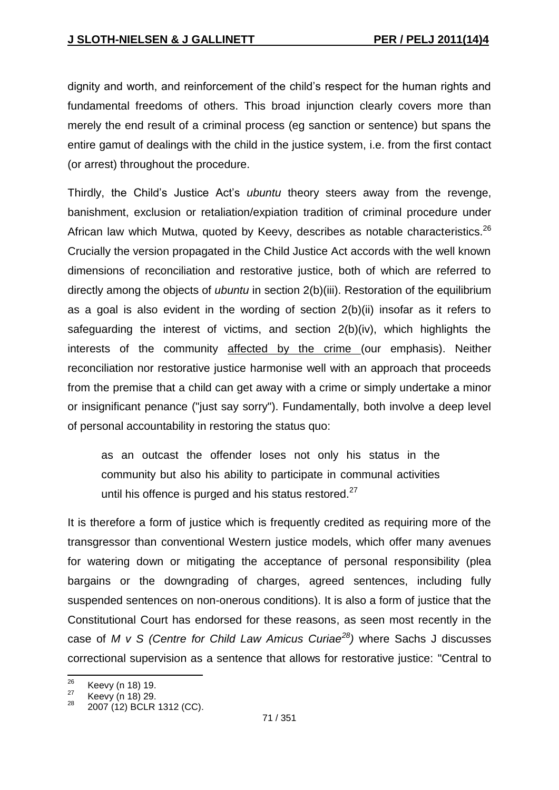dignity and worth, and reinforcement of the child's respect for the human rights and fundamental freedoms of others. This broad injunction clearly covers more than merely the end result of a criminal process (eg sanction or sentence) but spans the entire gamut of dealings with the child in the justice system, i.e. from the first contact (or arrest) throughout the procedure.

Thirdly, the Child's Justice Act's *ubuntu* theory steers away from the revenge, banishment, exclusion or retaliation/expiation tradition of criminal procedure under African law which Mutwa, quoted by Keevy, describes as notable characteristics.<sup>26</sup> Crucially the version propagated in the Child Justice Act accords with the well known dimensions of reconciliation and restorative justice, both of which are referred to directly among the objects of *ubuntu* in section 2(b)(iii). Restoration of the equilibrium as a goal is also evident in the wording of section 2(b)(ii) insofar as it refers to safeguarding the interest of victims, and section 2(b)(iv), which highlights the interests of the community affected by the crime (our emphasis). Neither reconciliation nor restorative justice harmonise well with an approach that proceeds from the premise that a child can get away with a crime or simply undertake a minor or insignificant penance ("just say sorry"). Fundamentally, both involve a deep level of personal accountability in restoring the status quo:

as an outcast the offender loses not only his status in the community but also his ability to participate in communal activities until his offence is purged and his status restored.<sup>27</sup>

It is therefore a form of justice which is frequently credited as requiring more of the transgressor than conventional Western justice models, which offer many avenues for watering down or mitigating the acceptance of personal responsibility (plea bargains or the downgrading of charges, agreed sentences, including fully suspended sentences on non-onerous conditions). It is also a form of justice that the Constitutional Court has endorsed for these reasons, as seen most recently in the case of *M v S (Centre for Child Law Amicus Curiae<sup>28</sup>)* where Sachs J discusses correctional supervision as a sentence that allows for restorative justice: "Central to

<sup>26</sup>  $\frac{26}{27}$  Keevy (n 18) 19.

 $\frac{27}{28}$  Keevy (n 18) 29.

<sup>28</sup> 2007 (12) BCLR 1312 (CC).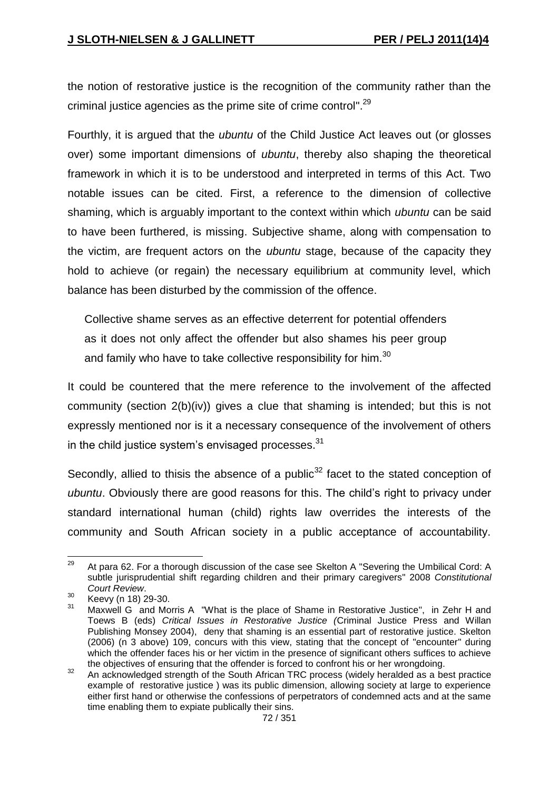the notion of restorative justice is the recognition of the community rather than the criminal justice agencies as the prime site of crime control".<sup>29</sup>

Fourthly, it is argued that the *ubuntu* of the Child Justice Act leaves out (or glosses over) some important dimensions of *ubuntu*, thereby also shaping the theoretical framework in which it is to be understood and interpreted in terms of this Act. Two notable issues can be cited. First, a reference to the dimension of collective shaming, which is arguably important to the context within which *ubuntu* can be said to have been furthered, is missing. Subjective shame, along with compensation to the victim, are frequent actors on the *ubuntu* stage, because of the capacity they hold to achieve (or regain) the necessary equilibrium at community level, which balance has been disturbed by the commission of the offence.

Collective shame serves as an effective deterrent for potential offenders as it does not only affect the offender but also shames his peer group and family who have to take collective responsibility for him.  $30<sup>30</sup>$ 

It could be countered that the mere reference to the involvement of the affected community (section 2(b)(iv)) gives a clue that shaming is intended; but this is not expressly mentioned nor is it a necessary consequence of the involvement of others in the child justice system's envisaged processes. $31$ 

Secondly, allied to thisis the absence of a public<sup>32</sup> facet to the stated conception of *ubuntu*. Obviously there are good reasons for this. The child's right to privacy under standard international human (child) rights law overrides the interests of the community and South African society in a public acceptance of accountability.

<sup>29</sup> <sup>29</sup> At para 62. For a thorough discussion of the case see Skelton A "Severing the Umbilical Cord: A subtle jurisprudential shift regarding children and their primary caregivers" 2008 *Constitutional Court Review*.

 $\frac{30}{31}$  Keevy (n 18) 29-30.

Maxwell G and Morris A "What is the place of Shame in Restorative Justice", in Zehr H and Toews B (eds) *Critical Issues in Restorative Justice (*Criminal Justice Press and Willan Publishing Monsey 2004), deny that shaming is an essential part of restorative justice. Skelton (2006) (n 3 above) 109, concurs with this view, stating that the concept of "encounter" during which the offender faces his or her victim in the presence of significant others suffices to achieve the objectives of ensuring that the offender is forced to confront his or her wrongdoing.

<sup>&</sup>lt;sup>32</sup> An acknowledged strength of the South African TRC process (widely heralded as a best practice example of restorative justice ) was its public dimension, allowing society at large to experience either first hand or otherwise the confessions of perpetrators of condemned acts and at the same time enabling them to expiate publically their sins.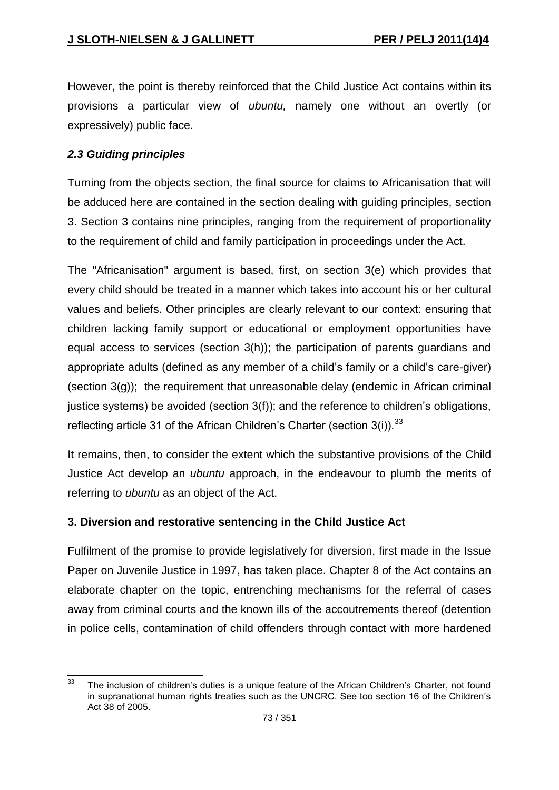However, the point is thereby reinforced that the Child Justice Act contains within its provisions a particular view of *ubuntu,* namely one without an overtly (or expressively) public face.

## *2.3 Guiding principles*

Turning from the objects section, the final source for claims to Africanisation that will be adduced here are contained in the section dealing with guiding principles, section 3. Section 3 contains nine principles, ranging from the requirement of proportionality to the requirement of child and family participation in proceedings under the Act.

The "Africanisation" argument is based, first, on section 3(e) which provides that every child should be treated in a manner which takes into account his or her cultural values and beliefs. Other principles are clearly relevant to our context: ensuring that children lacking family support or educational or employment opportunities have equal access to services (section 3(h)); the participation of parents guardians and appropriate adults (defined as any member of a child's family or a child's care-giver)  $(section 3(a))$ ; the requirement that unreasonable delay (endemic in African criminal justice systems) be avoided (section 3(f)); and the reference to children's obligations, reflecting article 31 of the African Children's Charter (section  $3(i)$ ).<sup>33</sup>

It remains, then, to consider the extent which the substantive provisions of the Child Justice Act develop an *ubuntu* approach, in the endeavour to plumb the merits of referring to *ubuntu* as an object of the Act.

## **3. Diversion and restorative sentencing in the Child Justice Act**

Fulfilment of the promise to provide legislatively for diversion, first made in the Issue Paper on Juvenile Justice in 1997, has taken place. Chapter 8 of the Act contains an elaborate chapter on the topic, entrenching mechanisms for the referral of cases away from criminal courts and the known ills of the accoutrements thereof (detention in police cells, contamination of child offenders through contact with more hardened

<sup>33</sup> The inclusion of children's duties is a unique feature of the African Children's Charter, not found in supranational human rights treaties such as the UNCRC. See too section 16 of the Children's Act 38 of 2005.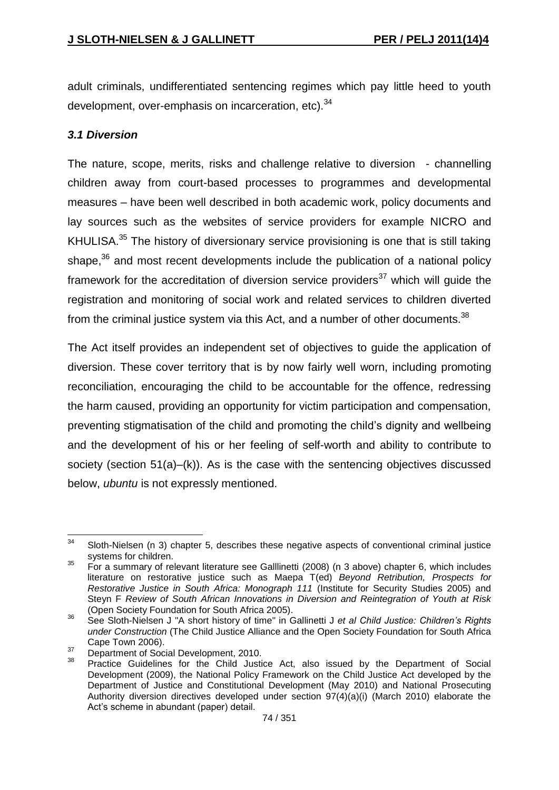adult criminals, undifferentiated sentencing regimes which pay little heed to youth development, over-emphasis on incarceration, etc).<sup>34</sup>

## *3.1 Diversion*

The nature, scope, merits, risks and challenge relative to diversion - channelling children away from court-based processes to programmes and developmental measures – have been well described in both academic work, policy documents and lay sources such as the websites of service providers for example NICRO and KHULISA.<sup>35</sup> The history of diversionary service provisioning is one that is still taking shape. $36$  and most recent developments include the publication of a national policy framework for the accreditation of diversion service providers<sup>37</sup> which will quide the registration and monitoring of social work and related services to children diverted from the criminal justice system via this Act, and a number of other documents. $38$ 

The Act itself provides an independent set of objectives to guide the application of diversion. These cover territory that is by now fairly well worn, including promoting reconciliation, encouraging the child to be accountable for the offence, redressing the harm caused, providing an opportunity for victim participation and compensation, preventing stigmatisation of the child and promoting the child's dignity and wellbeing and the development of his or her feeling of self-worth and ability to contribute to society (section 51(a)–(k)). As is the case with the sentencing objectives discussed below, *ubuntu* is not expressly mentioned.

<sup>34</sup> Sloth-Nielsen (n 3) chapter 5, describes these negative aspects of conventional criminal justice systems for children.

<sup>35</sup> For a summary of relevant literature see Galllinetti (2008) (n 3 above) chapter 6, which includes literature on restorative justice such as Maepa T(ed) *Beyond Retribution, Prospects for Restorative Justice in South Africa: Monograph 111* (Institute for Security Studies 2005) and Steyn F *Review of South African Innovations in Diversion and Reintegration of Youth at Risk* (Open Society Foundation for South Africa 2005).

<sup>36</sup> See Sloth-Nielsen J "A short history of time" in Gallinetti J *et al Child Justice: Children's Rights under Construction* (The Child Justice Alliance and the Open Society Foundation for South Africa Cape Town 2006).

<sup>&</sup>lt;sup>37</sup> Department of Social Development, 2010.<br><sup>38</sup> Department of Social Development, 2010.

Practice Guidelines for the Child Justice Act, also issued by the Department of Social Development (2009), the National Policy Framework on the Child Justice Act developed by the Department of Justice and Constitutional Development (May 2010) and National Prosecuting Authority diversion directives developed under section 97(4)(a)(i) (March 2010) elaborate the Act's scheme in abundant (paper) detail.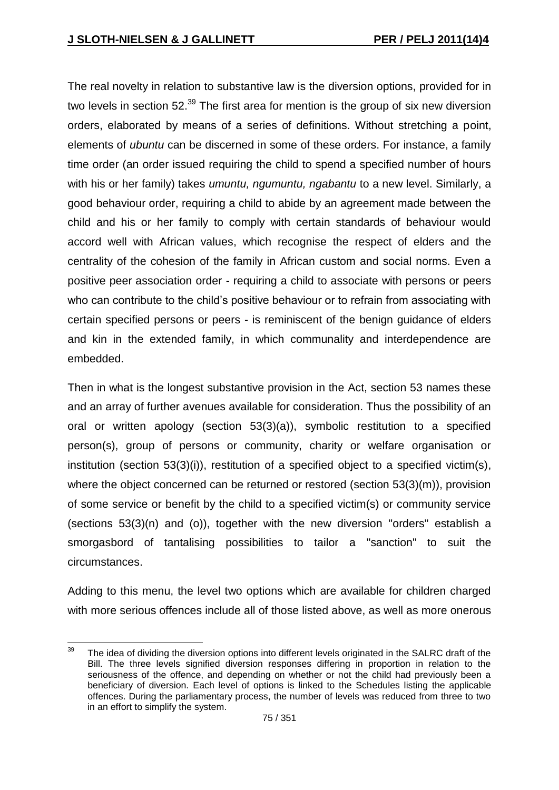The real novelty in relation to substantive law is the diversion options, provided for in two levels in section 52.<sup>39</sup> The first area for mention is the group of six new diversion orders, elaborated by means of a series of definitions. Without stretching a point, elements of *ubuntu* can be discerned in some of these orders. For instance, a family time order (an order issued requiring the child to spend a specified number of hours with his or her family) takes *umuntu, ngumuntu, ngabantu* to a new level. Similarly, a good behaviour order, requiring a child to abide by an agreement made between the child and his or her family to comply with certain standards of behaviour would accord well with African values, which recognise the respect of elders and the centrality of the cohesion of the family in African custom and social norms. Even a positive peer association order - requiring a child to associate with persons or peers who can contribute to the child's positive behaviour or to refrain from associating with certain specified persons or peers - is reminiscent of the benign guidance of elders and kin in the extended family, in which communality and interdependence are embedded.

Then in what is the longest substantive provision in the Act, section 53 names these and an array of further avenues available for consideration. Thus the possibility of an oral or written apology (section 53(3)(a)), symbolic restitution to a specified person(s), group of persons or community, charity or welfare organisation or institution (section 53(3)(i)), restitution of a specified object to a specified victim(s), where the object concerned can be returned or restored (section 53(3)(m)), provision of some service or benefit by the child to a specified victim(s) or community service (sections 53(3)(n) and (o)), together with the new diversion "orders" establish a smorgasbord of tantalising possibilities to tailor a "sanction" to suit the circumstances.

Adding to this menu, the level two options which are available for children charged with more serious offences include all of those listed above, as well as more onerous

<sup>39</sup> The idea of dividing the diversion options into different levels originated in the SALRC draft of the Bill. The three levels signified diversion responses differing in proportion in relation to the seriousness of the offence, and depending on whether or not the child had previously been a beneficiary of diversion. Each level of options is linked to the Schedules listing the applicable offences. During the parliamentary process, the number of levels was reduced from three to two in an effort to simplify the system.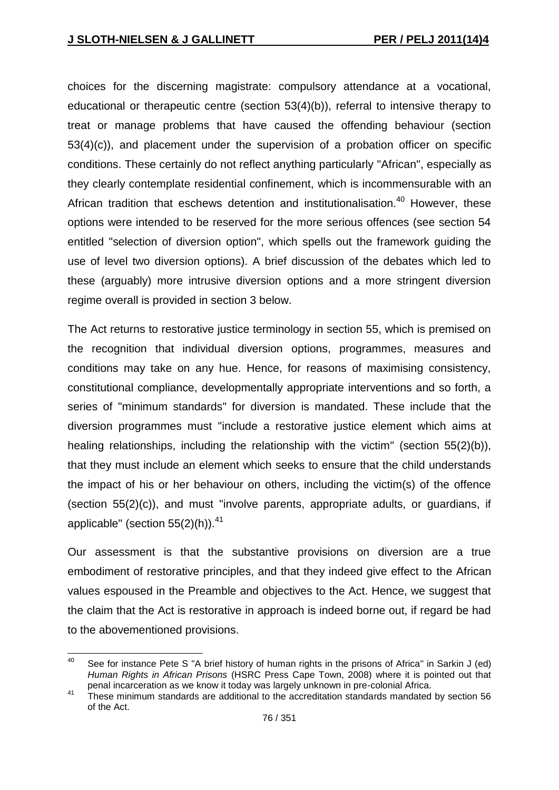choices for the discerning magistrate: compulsory attendance at a vocational, educational or therapeutic centre (section 53(4)(b)), referral to intensive therapy to treat or manage problems that have caused the offending behaviour (section 53(4)(c)), and placement under the supervision of a probation officer on specific conditions. These certainly do not reflect anything particularly "African", especially as they clearly contemplate residential confinement, which is incommensurable with an African tradition that eschews detention and institutionalisation.<sup>40</sup> However, these options were intended to be reserved for the more serious offences (see section 54 entitled "selection of diversion option", which spells out the framework guiding the use of level two diversion options). A brief discussion of the debates which led to these (arguably) more intrusive diversion options and a more stringent diversion regime overall is provided in section 3 below.

The Act returns to restorative justice terminology in section 55, which is premised on the recognition that individual diversion options, programmes, measures and conditions may take on any hue. Hence, for reasons of maximising consistency, constitutional compliance, developmentally appropriate interventions and so forth, a series of "minimum standards" for diversion is mandated. These include that the diversion programmes must "include a restorative justice element which aims at healing relationships, including the relationship with the victim" (section 55(2)(b)), that they must include an element which seeks to ensure that the child understands the impact of his or her behaviour on others, including the victim(s) of the offence (section 55(2)(c)), and must "involve parents, appropriate adults, or guardians, if applicable" (section  $55(2)$ (h)).<sup>41</sup>

Our assessment is that the substantive provisions on diversion are a true embodiment of restorative principles, and that they indeed give effect to the African values espoused in the Preamble and objectives to the Act. Hence, we suggest that the claim that the Act is restorative in approach is indeed borne out, if regard be had to the abovementioned provisions.

 $40<sup>1</sup>$ See for instance Pete S "A brief history of human rights in the prisons of Africa" in Sarkin J (ed) *Human Rights in African Prisons* (HSRC Press Cape Town, 2008) where it is pointed out that penal incarceration as we know it today was largely unknown in pre-colonial Africa.

<sup>41</sup> These minimum standards are additional to the accreditation standards mandated by section 56 of the Act.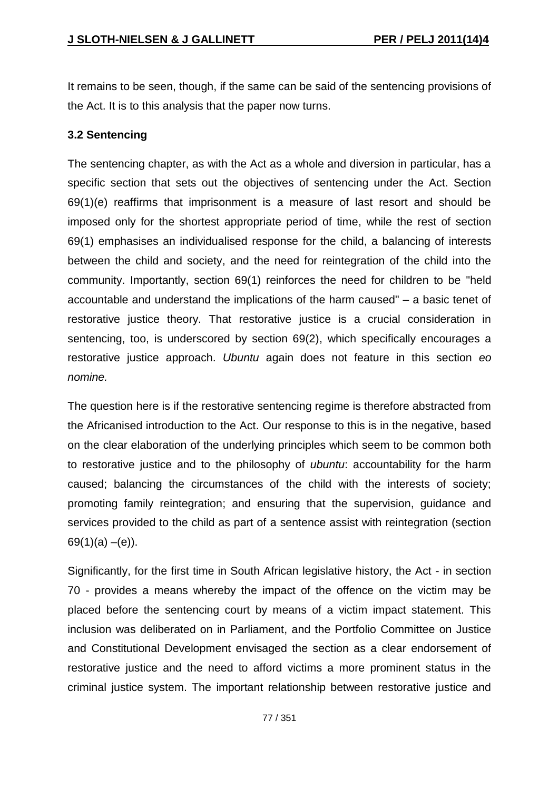It remains to be seen, though, if the same can be said of the sentencing provisions of the Act. It is to this analysis that the paper now turns.

## **3.2 Sentencing**

The sentencing chapter, as with the Act as a whole and diversion in particular, has a specific section that sets out the objectives of sentencing under the Act. Section 69(1)(e) reaffirms that imprisonment is a measure of last resort and should be imposed only for the shortest appropriate period of time, while the rest of section 69(1) emphasises an individualised response for the child, a balancing of interests between the child and society, and the need for reintegration of the child into the community. Importantly, section 69(1) reinforces the need for children to be "held accountable and understand the implications of the harm caused" – a basic tenet of restorative justice theory. That restorative justice is a crucial consideration in sentencing, too, is underscored by section 69(2), which specifically encourages a restorative justice approach. *Ubuntu* again does not feature in this section *eo nomine.*

The question here is if the restorative sentencing regime is therefore abstracted from the Africanised introduction to the Act. Our response to this is in the negative, based on the clear elaboration of the underlying principles which seem to be common both to restorative justice and to the philosophy of *ubuntu*: accountability for the harm caused; balancing the circumstances of the child with the interests of society; promoting family reintegration; and ensuring that the supervision, guidance and services provided to the child as part of a sentence assist with reintegration (section  $69(1)(a) - (e)$ ).

Significantly, for the first time in South African legislative history, the Act - in section 70 - provides a means whereby the impact of the offence on the victim may be placed before the sentencing court by means of a victim impact statement. This inclusion was deliberated on in Parliament, and the Portfolio Committee on Justice and Constitutional Development envisaged the section as a clear endorsement of restorative justice and the need to afford victims a more prominent status in the criminal justice system. The important relationship between restorative justice and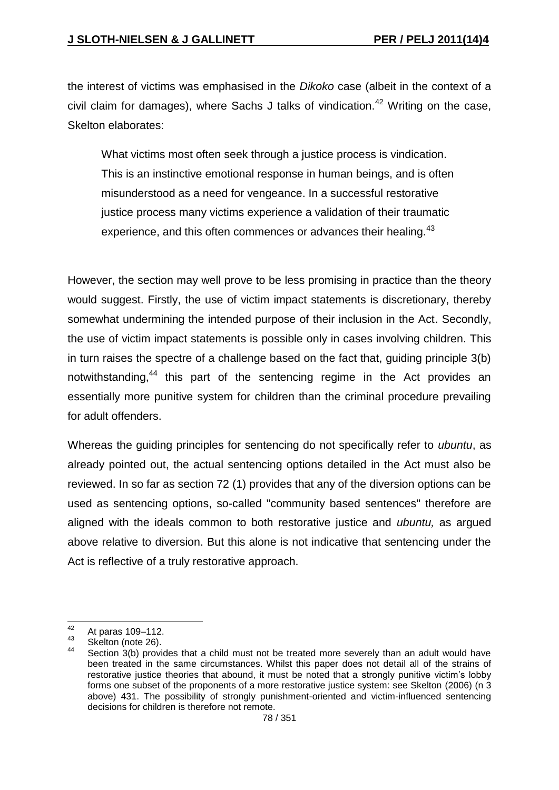the interest of victims was emphasised in the *Dikoko* case (albeit in the context of a civil claim for damages), where Sachs J talks of vindication.<sup>42</sup> Writing on the case, Skelton elaborates:

What victims most often seek through a justice process is vindication. This is an instinctive emotional response in human beings, and is often misunderstood as a need for vengeance. In a successful restorative justice process many victims experience a validation of their traumatic experience, and this often commences or advances their healing.<sup>43</sup>

However, the section may well prove to be less promising in practice than the theory would suggest. Firstly, the use of victim impact statements is discretionary, thereby somewhat undermining the intended purpose of their inclusion in the Act. Secondly, the use of victim impact statements is possible only in cases involving children. This in turn raises the spectre of a challenge based on the fact that, guiding principle 3(b) notwithstanding,<sup>44</sup> this part of the sentencing regime in the Act provides an essentially more punitive system for children than the criminal procedure prevailing for adult offenders.

Whereas the guiding principles for sentencing do not specifically refer to *ubuntu*, as already pointed out, the actual sentencing options detailed in the Act must also be reviewed. In so far as section 72 (1) provides that any of the diversion options can be used as sentencing options, so-called "community based sentences" therefore are aligned with the ideals common to both restorative justice and *ubuntu,* as argued above relative to diversion. But this alone is not indicative that sentencing under the Act is reflective of a truly restorative approach.

1

 $^{42}$  At paras 109-112.

 $^{43}$  Skelton (note 26).

Section 3(b) provides that a child must not be treated more severely than an adult would have been treated in the same circumstances. Whilst this paper does not detail all of the strains of restorative justice theories that abound, it must be noted that a strongly punitive victim's lobby forms one subset of the proponents of a more restorative justice system: see Skelton (2006) (n 3 above) 431. The possibility of strongly punishment-oriented and victim-influenced sentencing decisions for children is therefore not remote.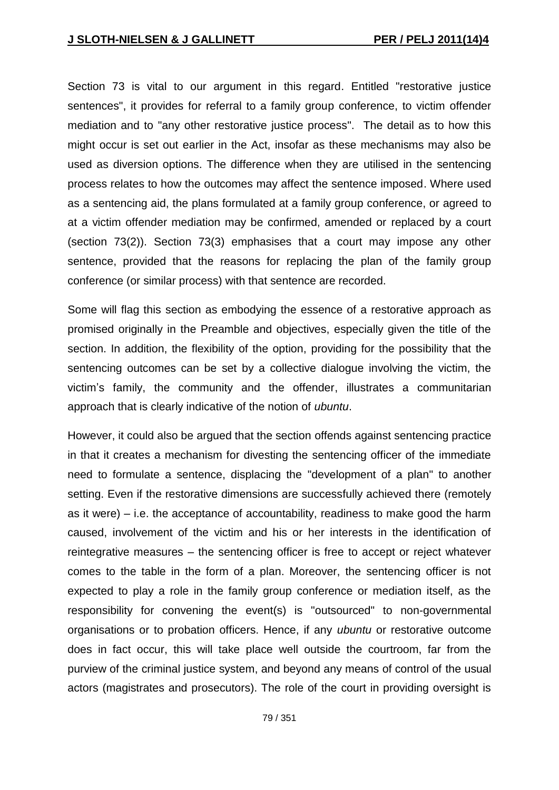Section 73 is vital to our argument in this regard. Entitled "restorative justice sentences", it provides for referral to a family group conference, to victim offender mediation and to "any other restorative justice process". The detail as to how this might occur is set out earlier in the Act, insofar as these mechanisms may also be used as diversion options. The difference when they are utilised in the sentencing process relates to how the outcomes may affect the sentence imposed. Where used as a sentencing aid, the plans formulated at a family group conference, or agreed to at a victim offender mediation may be confirmed, amended or replaced by a court (section 73(2)). Section 73(3) emphasises that a court may impose any other sentence, provided that the reasons for replacing the plan of the family group conference (or similar process) with that sentence are recorded.

Some will flag this section as embodying the essence of a restorative approach as promised originally in the Preamble and objectives, especially given the title of the section. In addition, the flexibility of the option, providing for the possibility that the sentencing outcomes can be set by a collective dialogue involving the victim, the victim's family, the community and the offender, illustrates a communitarian approach that is clearly indicative of the notion of *ubuntu*.

However, it could also be argued that the section offends against sentencing practice in that it creates a mechanism for divesting the sentencing officer of the immediate need to formulate a sentence, displacing the "development of a plan" to another setting. Even if the restorative dimensions are successfully achieved there (remotely as it were) – i.e. the acceptance of accountability, readiness to make good the harm caused, involvement of the victim and his or her interests in the identification of reintegrative measures – the sentencing officer is free to accept or reject whatever comes to the table in the form of a plan. Moreover, the sentencing officer is not expected to play a role in the family group conference or mediation itself, as the responsibility for convening the event(s) is "outsourced" to non-governmental organisations or to probation officers. Hence, if any *ubuntu* or restorative outcome does in fact occur, this will take place well outside the courtroom, far from the purview of the criminal justice system, and beyond any means of control of the usual actors (magistrates and prosecutors). The role of the court in providing oversight is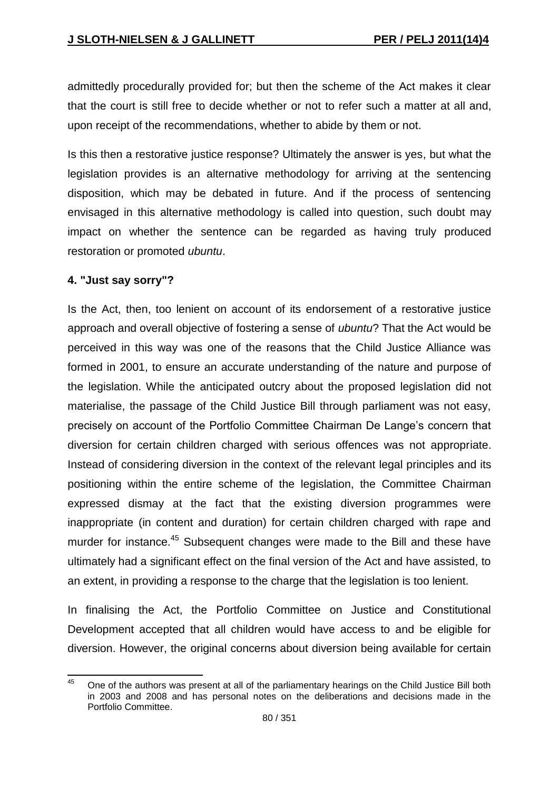admittedly procedurally provided for; but then the scheme of the Act makes it clear that the court is still free to decide whether or not to refer such a matter at all and, upon receipt of the recommendations, whether to abide by them or not.

Is this then a restorative justice response? Ultimately the answer is yes, but what the legislation provides is an alternative methodology for arriving at the sentencing disposition, which may be debated in future. And if the process of sentencing envisaged in this alternative methodology is called into question, such doubt may impact on whether the sentence can be regarded as having truly produced restoration or promoted *ubuntu*.

#### **4. "Just say sorry"?**

Is the Act, then, too lenient on account of its endorsement of a restorative justice approach and overall objective of fostering a sense of *ubuntu*? That the Act would be perceived in this way was one of the reasons that the Child Justice Alliance was formed in 2001, to ensure an accurate understanding of the nature and purpose of the legislation. While the anticipated outcry about the proposed legislation did not materialise, the passage of the Child Justice Bill through parliament was not easy, precisely on account of the Portfolio Committee Chairman De Lange's concern that diversion for certain children charged with serious offences was not appropriate. Instead of considering diversion in the context of the relevant legal principles and its positioning within the entire scheme of the legislation, the Committee Chairman expressed dismay at the fact that the existing diversion programmes were inappropriate (in content and duration) for certain children charged with rape and murder for instance.<sup>45</sup> Subsequent changes were made to the Bill and these have ultimately had a significant effect on the final version of the Act and have assisted, to an extent, in providing a response to the charge that the legislation is too lenient.

In finalising the Act, the Portfolio Committee on Justice and Constitutional Development accepted that all children would have access to and be eligible for diversion. However, the original concerns about diversion being available for certain

<sup>45</sup> One of the authors was present at all of the parliamentary hearings on the Child Justice Bill both in 2003 and 2008 and has personal notes on the deliberations and decisions made in the Portfolio Committee.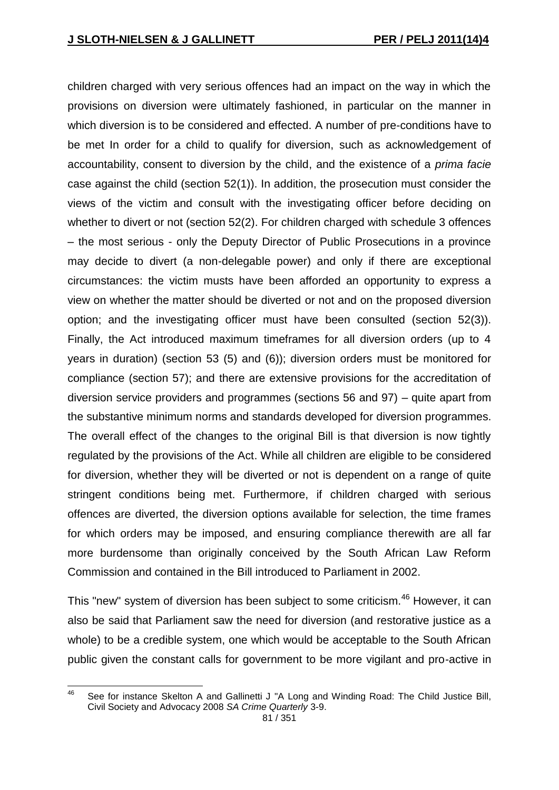children charged with very serious offences had an impact on the way in which the provisions on diversion were ultimately fashioned, in particular on the manner in which diversion is to be considered and effected. A number of pre-conditions have to be met In order for a child to qualify for diversion, such as acknowledgement of accountability, consent to diversion by the child, and the existence of a *prima facie* case against the child (section 52(1)). In addition, the prosecution must consider the views of the victim and consult with the investigating officer before deciding on whether to divert or not (section 52(2). For children charged with schedule 3 offences – the most serious - only the Deputy Director of Public Prosecutions in a province may decide to divert (a non-delegable power) and only if there are exceptional circumstances: the victim musts have been afforded an opportunity to express a view on whether the matter should be diverted or not and on the proposed diversion option; and the investigating officer must have been consulted (section 52(3)). Finally, the Act introduced maximum timeframes for all diversion orders (up to 4 years in duration) (section 53 (5) and (6)); diversion orders must be monitored for compliance (section 57); and there are extensive provisions for the accreditation of diversion service providers and programmes (sections 56 and 97) – quite apart from the substantive minimum norms and standards developed for diversion programmes. The overall effect of the changes to the original Bill is that diversion is now tightly regulated by the provisions of the Act. While all children are eligible to be considered for diversion, whether they will be diverted or not is dependent on a range of quite stringent conditions being met. Furthermore, if children charged with serious offences are diverted, the diversion options available for selection, the time frames for which orders may be imposed, and ensuring compliance therewith are all far more burdensome than originally conceived by the South African Law Reform Commission and contained in the Bill introduced to Parliament in 2002.

This "new" system of diversion has been subject to some criticism.<sup>46</sup> However, it can also be said that Parliament saw the need for diversion (and restorative justice as a whole) to be a credible system, one which would be acceptable to the South African public given the constant calls for government to be more vigilant and pro-active in

<sup>46</sup> See for instance Skelton A and Gallinetti J "A Long and Winding Road: The Child Justice Bill, Civil Society and Advocacy 2008 *SA Crime Quarterly* 3-9.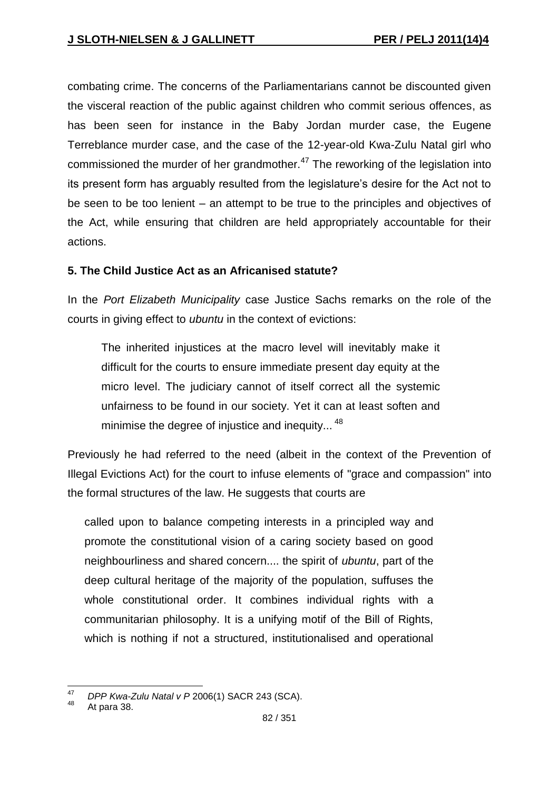combating crime. The concerns of the Parliamentarians cannot be discounted given the visceral reaction of the public against children who commit serious offences, as has been seen for instance in the Baby Jordan murder case, the Eugene Terreblance murder case, and the case of the 12-year-old Kwa-Zulu Natal girl who commissioned the murder of her grandmother.<sup>47</sup> The reworking of the legislation into its present form has arguably resulted from the legislature's desire for the Act not to be seen to be too lenient – an attempt to be true to the principles and objectives of the Act, while ensuring that children are held appropriately accountable for their actions.

## **5. The Child Justice Act as an Africanised statute?**

In the *Port Elizabeth Municipality* case Justice Sachs remarks on the role of the courts in giving effect to *ubuntu* in the context of evictions:

The inherited injustices at the macro level will inevitably make it difficult for the courts to ensure immediate present day equity at the micro level. The judiciary cannot of itself correct all the systemic unfairness to be found in our society. Yet it can at least soften and minimise the degree of injustice and inequity...  $48$ 

Previously he had referred to the need (albeit in the context of the Prevention of Illegal Evictions Act) for the court to infuse elements of "grace and compassion" into the formal structures of the law. He suggests that courts are

called upon to balance competing interests in a principled way and promote the constitutional vision of a caring society based on good neighbourliness and shared concern.... the spirit of *ubuntu*, part of the deep cultural heritage of the majority of the population, suffuses the whole constitutional order. It combines individual rights with a communitarian philosophy. It is a unifying motif of the Bill of Rights, which is nothing if not a structured, institutionalised and operational

<sup>47</sup> <sup>47</sup> *DPP Kwa-Zulu Natal v P* 2006(1) SACR 243 (SCA).

At para 38.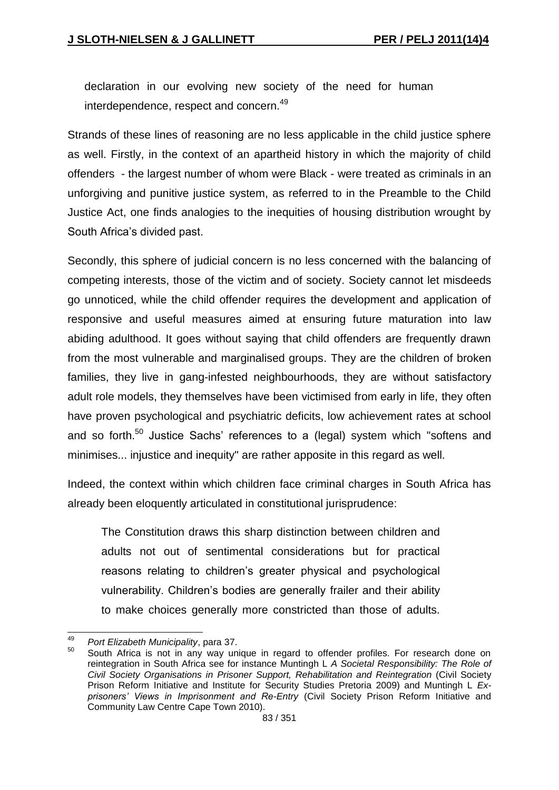declaration in our evolving new society of the need for human interdependence, respect and concern.<sup>49</sup>

Strands of these lines of reasoning are no less applicable in the child justice sphere as well. Firstly, in the context of an apartheid history in which the majority of child offenders - the largest number of whom were Black - were treated as criminals in an unforgiving and punitive justice system, as referred to in the Preamble to the Child Justice Act, one finds analogies to the inequities of housing distribution wrought by South Africa's divided past.

Secondly, this sphere of judicial concern is no less concerned with the balancing of competing interests, those of the victim and of society. Society cannot let misdeeds go unnoticed, while the child offender requires the development and application of responsive and useful measures aimed at ensuring future maturation into law abiding adulthood. It goes without saying that child offenders are frequently drawn from the most vulnerable and marginalised groups. They are the children of broken families, they live in gang-infested neighbourhoods, they are without satisfactory adult role models, they themselves have been victimised from early in life, they often have proven psychological and psychiatric deficits, low achievement rates at school and so forth.<sup>50</sup> Justice Sachs' references to a (legal) system which "softens and minimises... injustice and inequity" are rather apposite in this regard as well.

Indeed, the context within which children face criminal charges in South Africa has already been eloquently articulated in constitutional jurisprudence:

The Constitution draws this sharp distinction between children and adults not out of sentimental considerations but for practical reasons relating to children's greater physical and psychological vulnerability. Children's bodies are generally frailer and their ability to make choices generally more constricted than those of adults.

 $49$ <sup>49</sup> *Port Elizabeth Municipality*, para 37.

South Africa is not in any way unique in regard to offender profiles. For research done on reintegration in South Africa see for instance Muntingh L *A Societal Responsibility: The Role of Civil Society Organisations in Prisoner Support, Rehabilitation and Reintegration* (Civil Society Prison Reform Initiative and Institute for Security Studies Pretoria 2009) and Muntingh L *Exprisoners' Views in Imprisonment and Re-Entry* (Civil Society Prison Reform Initiative and Community Law Centre Cape Town 2010).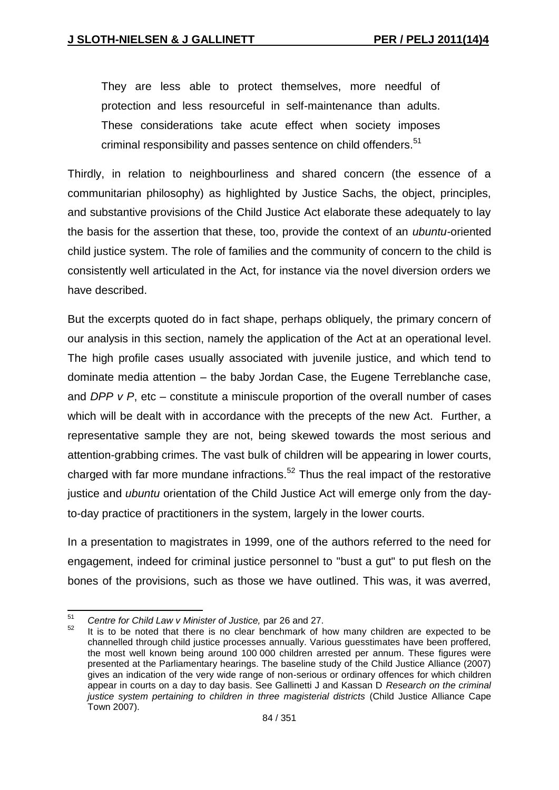They are less able to protect themselves, more needful of protection and less resourceful in self-maintenance than adults. These considerations take acute effect when society imposes criminal responsibility and passes sentence on child offenders.<sup>51</sup>

Thirdly, in relation to neighbourliness and shared concern (the essence of a communitarian philosophy) as highlighted by Justice Sachs, the object, principles, and substantive provisions of the Child Justice Act elaborate these adequately to lay the basis for the assertion that these, too, provide the context of an *ubuntu-*oriented child justice system. The role of families and the community of concern to the child is consistently well articulated in the Act, for instance via the novel diversion orders we have described.

But the excerpts quoted do in fact shape, perhaps obliquely, the primary concern of our analysis in this section, namely the application of the Act at an operational level. The high profile cases usually associated with juvenile justice, and which tend to dominate media attention – the baby Jordan Case, the Eugene Terreblanche case, and *DPP v P*, etc – constitute a miniscule proportion of the overall number of cases which will be dealt with in accordance with the precepts of the new Act. Further, a representative sample they are not, being skewed towards the most serious and attention-grabbing crimes. The vast bulk of children will be appearing in lower courts, charged with far more mundane infractions.<sup>52</sup> Thus the real impact of the restorative justice and *ubuntu* orientation of the Child Justice Act will emerge only from the dayto-day practice of practitioners in the system, largely in the lower courts.

In a presentation to magistrates in 1999, one of the authors referred to the need for engagement, indeed for criminal justice personnel to "bust a gut" to put flesh on the bones of the provisions, such as those we have outlined. This was, it was averred,

 $51$ <sup>51</sup> *Centre for Child Law v Minister of Justice,* par 26 and 27.

It is to be noted that there is no clear benchmark of how many children are expected to be channelled through child justice processes annually. Various guesstimates have been proffered, the most well known being around 100 000 children arrested per annum. These figures were presented at the Parliamentary hearings. The baseline study of the Child Justice Alliance (2007) gives an indication of the very wide range of non-serious or ordinary offences for which children appear in courts on a day to day basis. See Gallinetti J and Kassan D *Research on the criminal justice system pertaining to children in three magisterial districts* (Child Justice Alliance Cape Town 2007).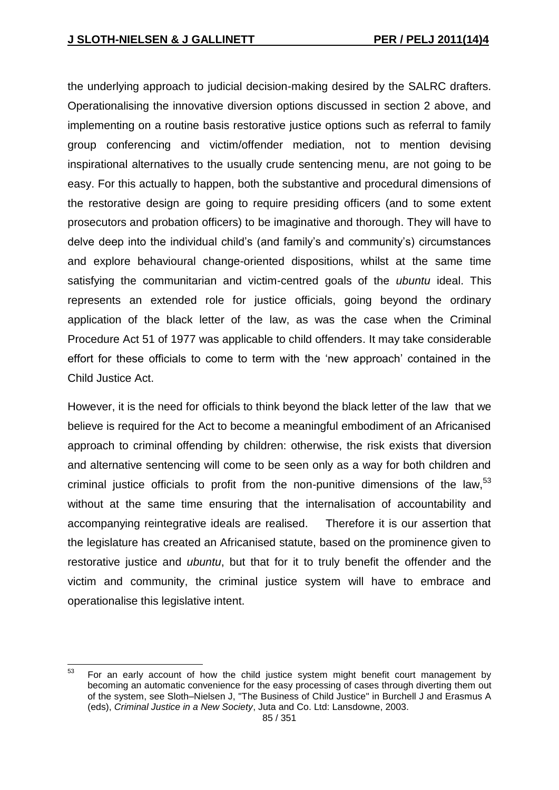the underlying approach to judicial decision-making desired by the SALRC drafters. Operationalising the innovative diversion options discussed in section 2 above, and implementing on a routine basis restorative justice options such as referral to family group conferencing and victim/offender mediation, not to mention devising inspirational alternatives to the usually crude sentencing menu, are not going to be easy. For this actually to happen, both the substantive and procedural dimensions of the restorative design are going to require presiding officers (and to some extent prosecutors and probation officers) to be imaginative and thorough. They will have to delve deep into the individual child's (and family's and community's) circumstances and explore behavioural change-oriented dispositions, whilst at the same time satisfying the communitarian and victim-centred goals of the *ubuntu* ideal. This represents an extended role for justice officials, going beyond the ordinary application of the black letter of the law, as was the case when the Criminal Procedure Act 51 of 1977 was applicable to child offenders. It may take considerable effort for these officials to come to term with the 'new approach' contained in the Child Justice Act.

However, it is the need for officials to think beyond the black letter of the law that we believe is required for the Act to become a meaningful embodiment of an Africanised approach to criminal offending by children: otherwise, the risk exists that diversion and alternative sentencing will come to be seen only as a way for both children and criminal justice officials to profit from the non-punitive dimensions of the law,  $53$ without at the same time ensuring that the internalisation of accountability and accompanying reintegrative ideals are realised. Therefore it is our assertion that the legislature has created an Africanised statute, based on the prominence given to restorative justice and *ubuntu*, but that for it to truly benefit the offender and the victim and community, the criminal justice system will have to embrace and operationalise this legislative intent.

<sup>53</sup> For an early account of how the child justice system might benefit court management by becoming an automatic convenience for the easy processing of cases through diverting them out of the system, see Sloth–Nielsen J, "The Business of Child Justice" in Burchell J and Erasmus A (eds), *Criminal Justice in a New Society*, Juta and Co. Ltd: Lansdowne, 2003.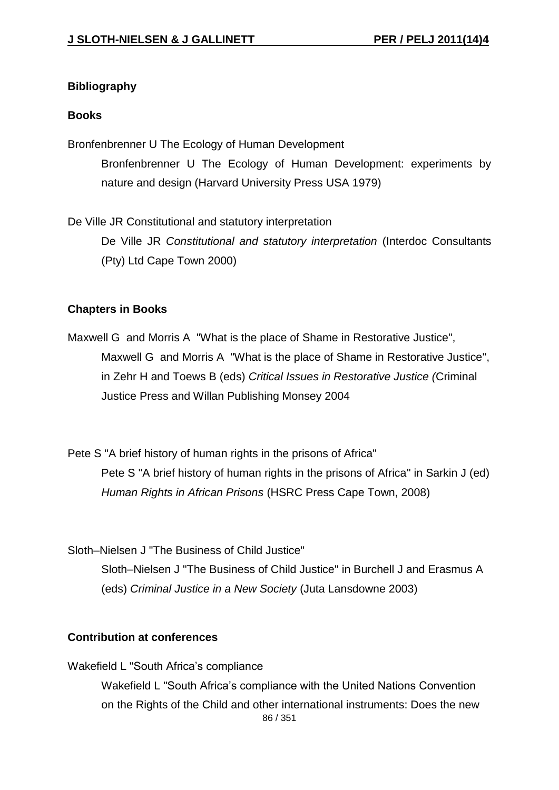### **Bibliography**

#### **Books**

Bronfenbrenner U The Ecology of Human Development Bronfenbrenner U The Ecology of Human Development: experiments by nature and design (Harvard University Press USA 1979)

De Ville JR Constitutional and statutory interpretation De Ville JR *Constitutional and statutory interpretation* (Interdoc Consultants (Pty) Ltd Cape Town 2000)

#### **Chapters in Books**

Maxwell G and Morris A "What is the place of Shame in Restorative Justice", Maxwell G and Morris A "What is the place of Shame in Restorative Justice", in Zehr H and Toews B (eds) *Critical Issues in Restorative Justice (*Criminal Justice Press and Willan Publishing Monsey 2004

Pete S "A brief history of human rights in the prisons of Africa" Pete S "A brief history of human rights in the prisons of Africa" in Sarkin J (ed) *Human Rights in African Prisons* (HSRC Press Cape Town, 2008)

Sloth–Nielsen J "The Business of Child Justice"

Sloth–Nielsen J "The Business of Child Justice" in Burchell J and Erasmus A (eds) *Criminal Justice in a New Society* (Juta Lansdowne 2003)

#### **Contribution at conferences**

86 / 351 Wakefield L "South Africa's compliance Wakefield L "South Africa's compliance with the United Nations Convention on the Rights of the Child and other international instruments: Does the new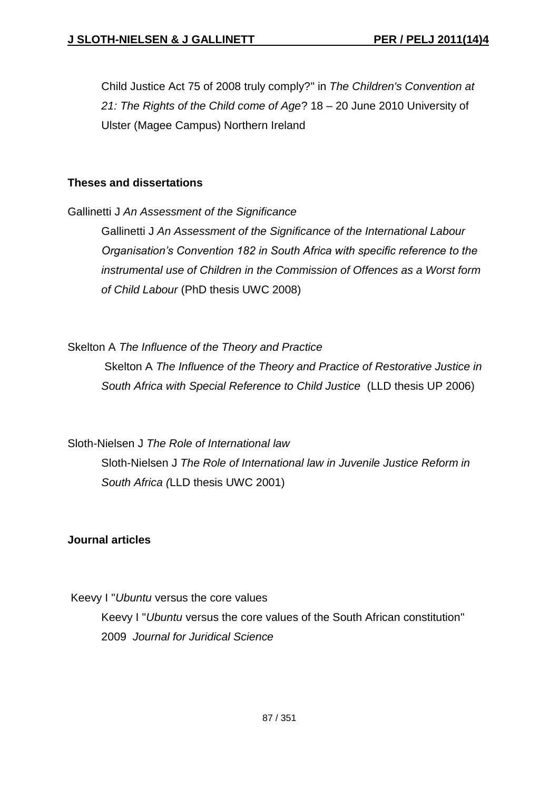Child Justice Act 75 of 2008 truly comply?" in *The Children's Convention at 21: The Rights of the Child come of Age*? 18 – 20 June 2010 University of Ulster (Magee Campus) Northern Ireland

## **Theses and dissertations**

Gallinetti J *An Assessment of the Significance* 

Gallinetti J *An Assessment of the Significance of the International Labour Organisation's Convention 182 in South Africa with specific reference to the instrumental use of Children in the Commission of Offences as a Worst form of Child Labour* (PhD thesis UWC 2008)

## Skelton A *The Influence of the Theory and Practice*

Skelton A *The Influence of the Theory and Practice of Restorative Justice in South Africa with Special Reference to Child Justice* (LLD thesis UP 2006)

Sloth-Nielsen J *The Role of International law*  Sloth-Nielsen J *The Role of International law in Juvenile Justice Reform in South Africa (*LLD thesis UWC 2001)

## **Journal articles**

Keevy I "*Ubuntu* versus the core values Keevy I "*Ubuntu* versus the core values of the South African constitution" 2009 *Journal for Juridical Science*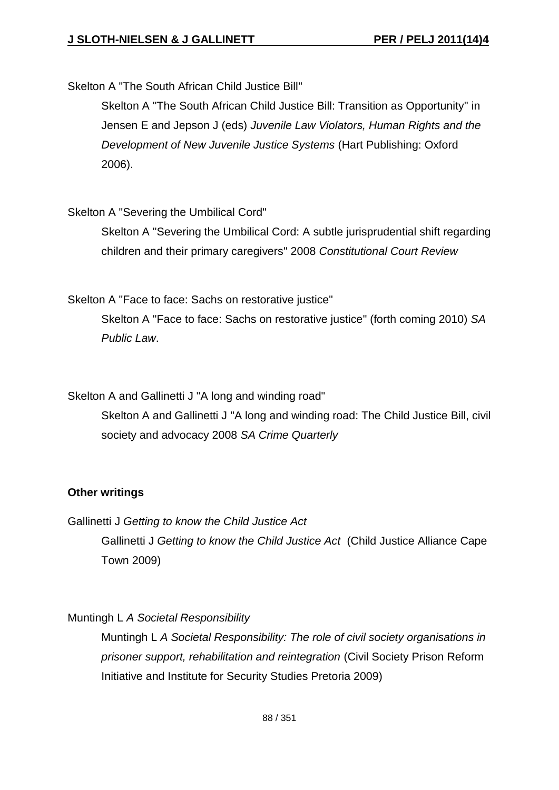Skelton A "The South African Child Justice Bill"

Skelton A "The South African Child Justice Bill: Transition as Opportunity" in Jensen E and Jepson J (eds) *Juvenile Law Violators, Human Rights and the Development of New Juvenile Justice Systems* (Hart Publishing: Oxford 2006).

Skelton A "Severing the Umbilical Cord"

Skelton A "Severing the Umbilical Cord: A subtle jurisprudential shift regarding children and their primary caregivers" 2008 *Constitutional Court Review*

Skelton A "Face to face: Sachs on restorative justice"

Skelton A "Face to face: Sachs on restorative justice" (forth coming 2010) *SA Public Law*.

Skelton A and Gallinetti J "A long and winding road"

Skelton A and Gallinetti J "A long and winding road: The Child Justice Bill, civil society and advocacy 2008 *SA Crime Quarterly* 

## **Other writings**

Gallinetti J *Getting to know the Child Justice Act*  Gallinetti J *Getting to know the Child Justice Act* (Child Justice Alliance Cape Town 2009)

Muntingh L *A Societal Responsibility*

Muntingh L *A Societal Responsibility: The role of civil society organisations in prisoner support, rehabilitation and reintegration* (Civil Society Prison Reform Initiative and Institute for Security Studies Pretoria 2009)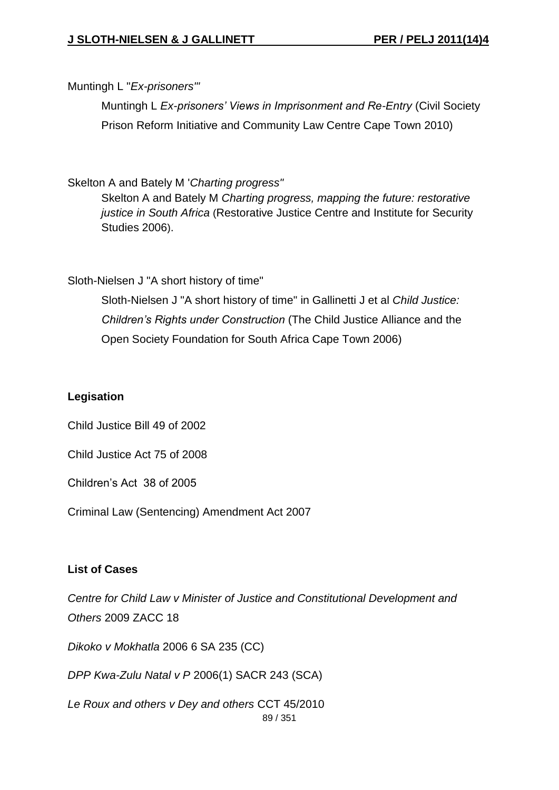Muntingh L "*Ex-prisoners'"*

Muntingh L *Ex-prisoners' Views in Imprisonment and Re-Entry* (Civil Society Prison Reform Initiative and Community Law Centre Cape Town 2010)

Skelton A and Bately M '*Charting progress"*

Skelton A and Bately M *Charting progress, mapping the future: restorative justice in South Africa* (Restorative Justice Centre and Institute for Security Studies 2006).

Sloth-Nielsen J "A short history of time"

Sloth-Nielsen J "A short history of time" in Gallinetti J et al *Child Justice: Children's Rights under Construction* (The Child Justice Alliance and the Open Society Foundation for South Africa Cape Town 2006)

## **Legisation**

Child Justice Bill 49 of 2002

Child Justice Act 75 of 2008

Children's Act 38 of 2005

Criminal Law (Sentencing) Amendment Act 2007

## **List of Cases**

*Centre for Child Law v Minister of Justice and Constitutional Development and Others* 2009 ZACC 18

*Dikoko v Mokhatla* 2006 6 SA 235 (CC)

*DPP Kwa-Zulu Natal v P* 2006(1) SACR 243 (SCA)

89 / 351 *Le Roux and others v Dey and others* CCT 45/2010